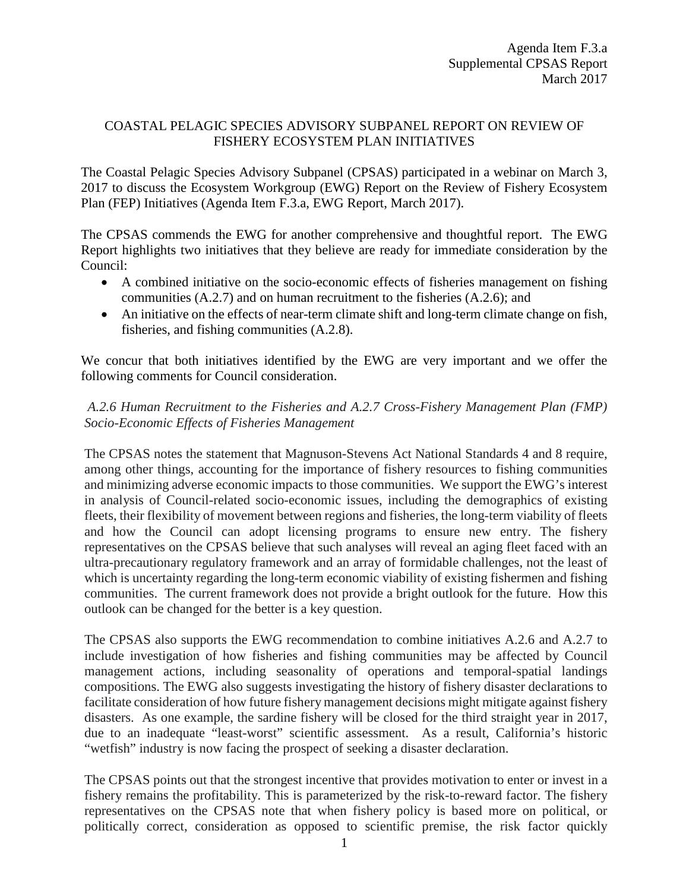## COASTAL PELAGIC SPECIES ADVISORY SUBPANEL REPORT ON REVIEW OF FISHERY ECOSYSTEM PLAN INITIATIVES

The Coastal Pelagic Species Advisory Subpanel (CPSAS) participated in a webinar on March 3, 2017 to discuss the Ecosystem Workgroup (EWG) Report on the Review of Fishery Ecosystem Plan (FEP) Initiatives (Agenda Item F.3.a, EWG Report, March 2017).

The CPSAS commends the EWG for another comprehensive and thoughtful report. The EWG Report highlights two initiatives that they believe are ready for immediate consideration by the Council:

- A combined initiative on the socio-economic effects of fisheries management on fishing communities (A.2.7) and on human recruitment to the fisheries (A.2.6); and
- An initiative on the effects of near-term climate shift and long-term climate change on fish, fisheries, and fishing communities (A.2.8).

We concur that both initiatives identified by the EWG are very important and we offer the following comments for Council consideration.

## *A.2.6 Human Recruitment to the Fisheries and A.2.7 Cross-Fishery Management Plan (FMP) Socio-Economic Effects of Fisheries Management*

The CPSAS notes the statement that Magnuson-Stevens Act National Standards 4 and 8 require, among other things, accounting for the importance of fishery resources to fishing communities and minimizing adverse economic impacts to those communities. We support the EWG's interest in analysis of Council-related socio-economic issues, including the demographics of existing fleets, their flexibility of movement between regions and fisheries, the long-term viability of fleets and how the Council can adopt licensing programs to ensure new entry. The fishery representatives on the CPSAS believe that such analyses will reveal an aging fleet faced with an ultra-precautionary regulatory framework and an array of formidable challenges, not the least of which is uncertainty regarding the long-term economic viability of existing fishermen and fishing communities. The current framework does not provide a bright outlook for the future. How this outlook can be changed for the better is a key question.

The CPSAS also supports the EWG recommendation to combine initiatives A.2.6 and A.2.7 to include investigation of how fisheries and fishing communities may be affected by Council management actions, including seasonality of operations and temporal-spatial landings compositions. The EWG also suggests investigating the history of fishery disaster declarations to facilitate consideration of how future fishery management decisions might mitigate against fishery disasters. As one example, the sardine fishery will be closed for the third straight year in 2017, due to an inadequate "least-worst" scientific assessment. As a result, California's historic "wetfish" industry is now facing the prospect of seeking a disaster declaration.

The CPSAS points out that the strongest incentive that provides motivation to enter or invest in a fishery remains the profitability. This is parameterized by the risk-to-reward factor. The fishery representatives on the CPSAS note that when fishery policy is based more on political, or politically correct, consideration as opposed to scientific premise, the risk factor quickly